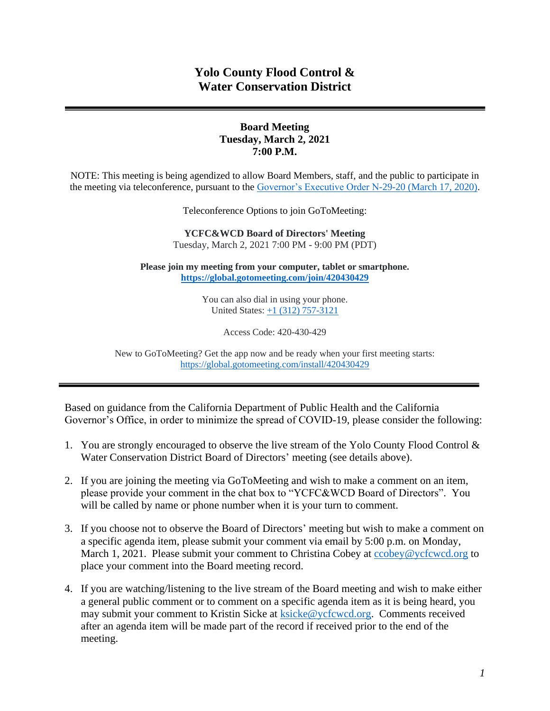# **Yolo County Flood Control & Water Conservation District**

## **Board Meeting Tuesday, March 2, 2021 7:00 P.M.**

NOTE: This meeting is being agendized to allow Board Members, staff, and the public to participate in the meeting via teleconference, pursuant to the [Governor's Executive Order N-29-20 \(March 17, 2020\).](https://www.gov.ca.gov/wp-content/uploads/2020/03/3.17.20-N-29-20-EO.pdf)

Teleconference Options to join GoToMeeting:

**YCFC&WCD Board of Directors' Meeting**  Tuesday, March 2, 2021 7:00 PM - 9:00 PM (PDT)

**Please join my meeting from your computer, tablet or smartphone. <https://global.gotomeeting.com/join/420430429>**

> You can also dial in using your phone. United States: [+1 \(312\) 757-3121](tel:+13127573121,,420430429)

> > Access Code: 420-430-429

New to GoToMeeting? Get the app now and be ready when your first meeting starts: <https://global.gotomeeting.com/install/420430429>

Based on guidance from the California Department of Public Health and the California Governor's Office, in order to minimize the spread of COVID-19, please consider the following:

- 1. You are strongly encouraged to observe the live stream of the Yolo County Flood Control & Water Conservation District Board of Directors' meeting (see details above).
- 2. If you are joining the meeting via GoToMeeting and wish to make a comment on an item, please provide your comment in the chat box to "YCFC&WCD Board of Directors". You will be called by name or phone number when it is your turn to comment.
- 3. If you choose not to observe the Board of Directors' meeting but wish to make a comment on a specific agenda item, please submit your comment via email by 5:00 p.m. on Monday, March 1, 2021. Please submit your comment to Christina Cobey at [ccobey@ycfcwcd.org](mailto:ccobey@ycfcwcd.org) to place your comment into the Board meeting record.
- 4. If you are watching/listening to the live stream of the Board meeting and wish to make either a general public comment or to comment on a specific agenda item as it is being heard, you may submit your comment to Kristin Sicke at [ksicke@ycfcwcd.org.](file://///Yolo-DC01/Shared/ADMINISTRATION/Board%20of%20Directors/Package/2020/BOD%20Pkg%204-7-2020/ksicke@ycfcwcd.org) Comments received after an agenda item will be made part of the record if received prior to the end of the meeting.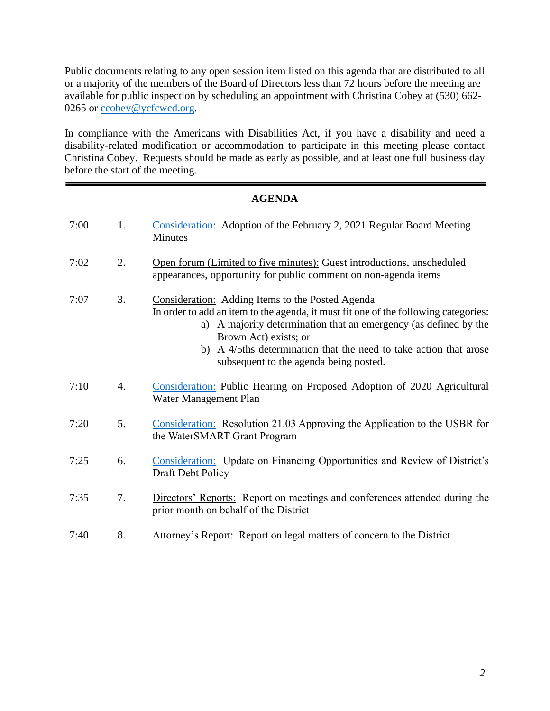Public documents relating to any open session item listed on this agenda that are distributed to all or a majority of the members of the Board of Directors less than 72 hours before the meeting are available for public inspection by scheduling an appointment with Christina Cobey at (530) 662- 0265 or [ccobey@ycfcwcd.org](mailto:ccobey@ycfcwcd.org)*.* 

In compliance with the Americans with Disabilities Act, if you have a disability and need a disability-related modification or accommodation to participate in this meeting please contact Christina Cobey. Requests should be made as early as possible, and at least one full business day before the start of the meeting.

# **AGENDA**

| 7:00 | 1. | Consideration: Adoption of the February 2, 2021 Regular Board Meeting<br><b>Minutes</b>                                                                                                                                                                                                                                                                |
|------|----|--------------------------------------------------------------------------------------------------------------------------------------------------------------------------------------------------------------------------------------------------------------------------------------------------------------------------------------------------------|
| 7:02 | 2. | Open forum (Limited to five minutes): Guest introductions, unscheduled<br>appearances, opportunity for public comment on non-agenda items                                                                                                                                                                                                              |
| 7:07 | 3. | Consideration: Adding Items to the Posted Agenda<br>In order to add an item to the agenda, it must fit one of the following categories:<br>a) A majority determination that an emergency (as defined by the<br>Brown Act) exists; or<br>A 4/5ths determination that the need to take action that arose<br>b)<br>subsequent to the agenda being posted. |
| 7:10 | 4. | Consideration: Public Hearing on Proposed Adoption of 2020 Agricultural<br>Water Management Plan                                                                                                                                                                                                                                                       |
| 7:20 | 5. | Consideration: Resolution 21.03 Approving the Application to the USBR for<br>the WaterSMART Grant Program                                                                                                                                                                                                                                              |
| 7:25 | 6. | Consideration: Update on Financing Opportunities and Review of District's<br>Draft Debt Policy                                                                                                                                                                                                                                                         |
| 7:35 | 7. | Directors' Reports: Report on meetings and conferences attended during the<br>prior month on behalf of the District                                                                                                                                                                                                                                    |
| 7:40 | 8. | Attorney's Report: Report on legal matters of concern to the District                                                                                                                                                                                                                                                                                  |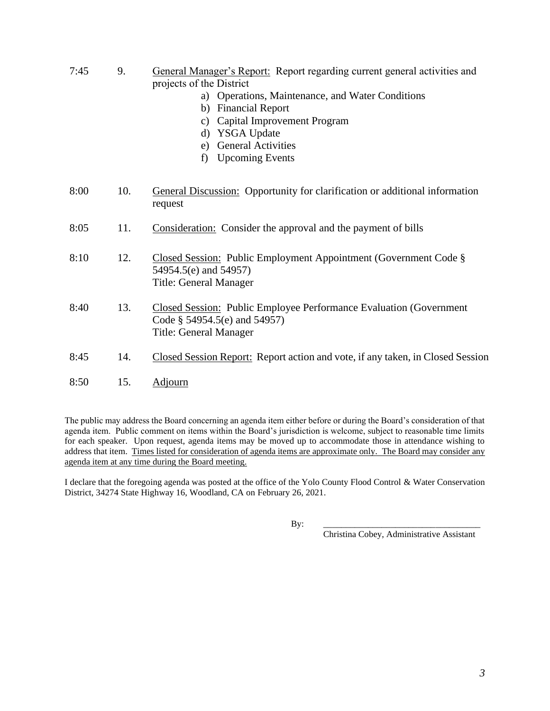- 7:45 9. General Manager's Report: Report regarding current general activities and projects of the District
	- a) Operations, Maintenance, and Water Conditions
	- b) Financial Report
	- c) Capital Improvement Program
	- d) YSGA Update
	- e) General Activities
	- f) Upcoming Events
- 8:00 10. General Discussion: Opportunity for clarification or additional information request
- 8:05 11. Consideration: Consider the approval and the payment of bills
- 8:10 12. Closed Session: Public Employment Appointment (Government Code § 54954.5(e) and 54957) Title: General Manager
- 8:40 13. Closed Session: Public Employee Performance Evaluation (Government Code § 54954.5(e) and 54957) Title: General Manager
- 8:45 14. Closed Session Report: Report action and vote, if any taken, in Closed Session
- 8:50 15. Adjourn

The public may address the Board concerning an agenda item either before or during the Board's consideration of that agenda item. Public comment on items within the Board's jurisdiction is welcome, subject to reasonable time limits for each speaker. Upon request, agenda items may be moved up to accommodate those in attendance wishing to address that item. Times listed for consideration of agenda items are approximate only. The Board may consider any agenda item at any time during the Board meeting.

I declare that the foregoing agenda was posted at the office of the Yolo County Flood Control & Water Conservation District, 34274 State Highway 16, Woodland, CA on February 26, 2021.

By: \_\_\_\_\_\_\_\_\_\_\_\_\_\_\_\_\_\_\_\_\_\_\_\_\_\_\_\_\_\_\_\_\_\_\_

Christina Cobey, Administrative Assistant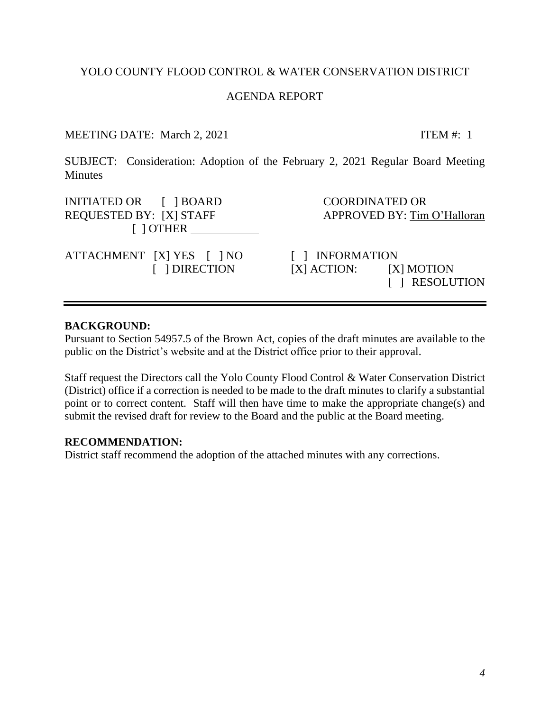# YOLO COUNTY FLOOD CONTROL & WATER CONSERVATION DISTRICT

#### AGENDA REPORT

# MEETING DATE: March 2, 2021 ITEM #: 1

<span id="page-3-0"></span>SUBJECT: Consideration: Adoption of the February 2, 2021 Regular Board Meeting **Minutes** 

INITIATED OR  $\begin{array}{ccc} \text{I} & \text{IBOARD} \\ \text{I} & \text{I} & \text{BOARD} \end{array}$ REQUESTED BY: [X] STAFF APPROVED BY: Tim O'Halloran [ ] OTHER

ATTACHMENT [X] YES [ ] NO [ ] INFORMATION

 [ ] DIRECTION [X] ACTION: [X] MOTION [ ] RESOLUTION

#### **BACKGROUND:**

Pursuant to Section 54957.5 of the Brown Act, copies of the draft minutes are available to the public on the District's website and at the District office prior to their approval.

Staff request the Directors call the Yolo County Flood Control & Water Conservation District (District) office if a correction is needed to be made to the draft minutes to clarify a substantial point or to correct content. Staff will then have time to make the appropriate change(s) and submit the revised draft for review to the Board and the public at the Board meeting.

#### **RECOMMENDATION:**

District staff recommend the adoption of the attached minutes with any corrections.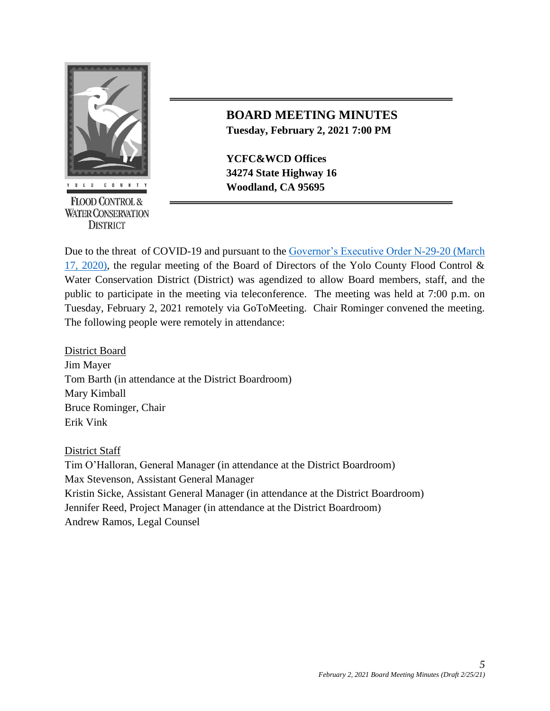

**FLOOD CONTROL & WATER CONSERVATION DISTRICT** 

# **BOARD MEETING MINUTES Tuesday, February 2, 2021 7:00 PM**

**YCFC&WCD Offices 34274 State Highway 16 EXECUTE:** Woodland, CA 95695

Due to the threat of COVID-19 and pursuant to the [Governor's Executive Order N-29-20 \(March](https://www.gov.ca.gov/wp-content/uploads/2020/03/3.17.20-N-29-20-EO.pdf)  [17, 2020\),](https://www.gov.ca.gov/wp-content/uploads/2020/03/3.17.20-N-29-20-EO.pdf) the regular meeting of the Board of Directors of the Yolo County Flood Control & Water Conservation District (District) was agendized to allow Board members, staff, and the public to participate in the meeting via teleconference. The meeting was held at 7:00 p.m. on Tuesday, February 2, 2021 remotely via GoToMeeting. Chair Rominger convened the meeting. The following people were remotely in attendance:

District Board Jim Mayer Tom Barth (in attendance at the District Boardroom) Mary Kimball Bruce Rominger, Chair Erik Vink

District Staff

Tim O'Halloran, General Manager (in attendance at the District Boardroom) Max Stevenson, Assistant General Manager Kristin Sicke, Assistant General Manager (in attendance at the District Boardroom) Jennifer Reed, Project Manager (in attendance at the District Boardroom) Andrew Ramos, Legal Counsel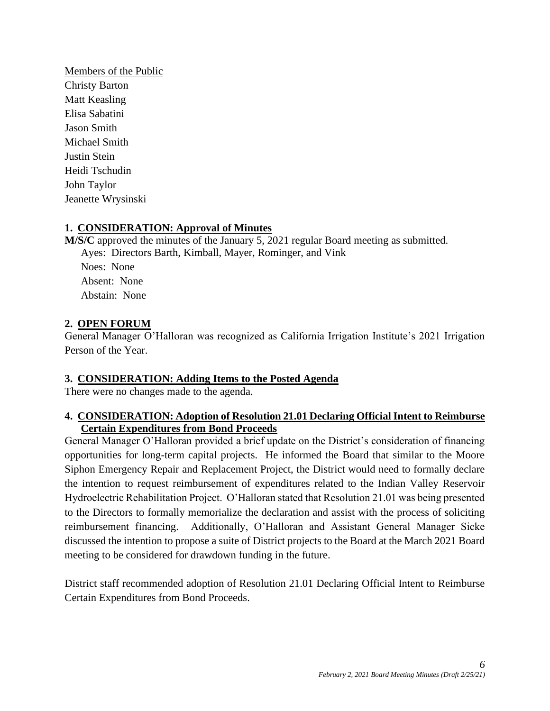Members of the Public Christy Barton Matt Keasling Elisa Sabatini Jason Smith Michael Smith Justin Stein Heidi Tschudin John Taylor Jeanette Wrysinski

#### **1. CONSIDERATION: Approval of Minutes**

**M/S/C** approved the minutes of the January 5, 2021 regular Board meeting as submitted. Ayes: Directors Barth, Kimball, Mayer, Rominger, and Vink Noes: None Absent: None Abstain: None

#### **2. OPEN FORUM**

General Manager O'Halloran was recognized as California Irrigation Institute's 2021 Irrigation Person of the Year.

#### **3. CONSIDERATION: Adding Items to the Posted Agenda**

There were no changes made to the agenda.

#### **4. CONSIDERATION: Adoption of Resolution 21.01 Declaring Official Intent to Reimburse Certain Expenditures from Bond Proceeds**

General Manager O'Halloran provided a brief update on the District's consideration of financing opportunities for long-term capital projects. He informed the Board that similar to the Moore Siphon Emergency Repair and Replacement Project, the District would need to formally declare the intention to request reimbursement of expenditures related to the Indian Valley Reservoir Hydroelectric Rehabilitation Project. O'Halloran stated that Resolution 21.01 was being presented to the Directors to formally memorialize the declaration and assist with the process of soliciting reimbursement financing. Additionally, O'Halloran and Assistant General Manager Sicke discussed the intention to propose a suite of District projects to the Board at the March 2021 Board meeting to be considered for drawdown funding in the future.

District staff recommended adoption of Resolution 21.01 Declaring Official Intent to Reimburse Certain Expenditures from Bond Proceeds.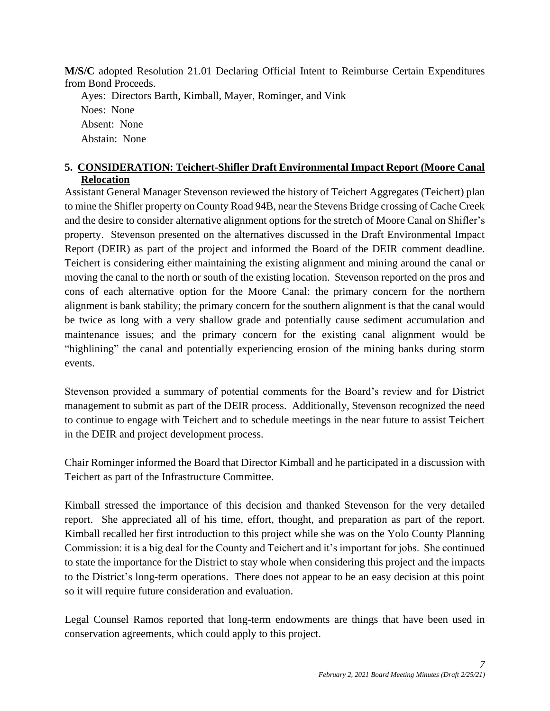**M/S/C** adopted Resolution 21.01 Declaring Official Intent to Reimburse Certain Expenditures from Bond Proceeds.

Ayes: Directors Barth, Kimball, Mayer, Rominger, and Vink Noes: None Absent: None Abstain: None

# **5. CONSIDERATION: Teichert-Shifler Draft Environmental Impact Report (Moore Canal Relocation**

Assistant General Manager Stevenson reviewed the history of Teichert Aggregates (Teichert) plan to mine the Shifler property on County Road 94B, near the Stevens Bridge crossing of Cache Creek and the desire to consider alternative alignment options for the stretch of Moore Canal on Shifler's property. Stevenson presented on the alternatives discussed in the Draft Environmental Impact Report (DEIR) as part of the project and informed the Board of the DEIR comment deadline. Teichert is considering either maintaining the existing alignment and mining around the canal or moving the canal to the north or south of the existing location. Stevenson reported on the pros and cons of each alternative option for the Moore Canal: the primary concern for the northern alignment is bank stability; the primary concern for the southern alignment is that the canal would be twice as long with a very shallow grade and potentially cause sediment accumulation and maintenance issues; and the primary concern for the existing canal alignment would be "highlining" the canal and potentially experiencing erosion of the mining banks during storm events.

Stevenson provided a summary of potential comments for the Board's review and for District management to submit as part of the DEIR process. Additionally, Stevenson recognized the need to continue to engage with Teichert and to schedule meetings in the near future to assist Teichert in the DEIR and project development process.

Chair Rominger informed the Board that Director Kimball and he participated in a discussion with Teichert as part of the Infrastructure Committee.

Kimball stressed the importance of this decision and thanked Stevenson for the very detailed report. She appreciated all of his time, effort, thought, and preparation as part of the report. Kimball recalled her first introduction to this project while she was on the Yolo County Planning Commission: it is a big deal for the County and Teichert and it's important for jobs. She continued to state the importance for the District to stay whole when considering this project and the impacts to the District's long-term operations. There does not appear to be an easy decision at this point so it will require future consideration and evaluation.

Legal Counsel Ramos reported that long-term endowments are things that have been used in conservation agreements, which could apply to this project.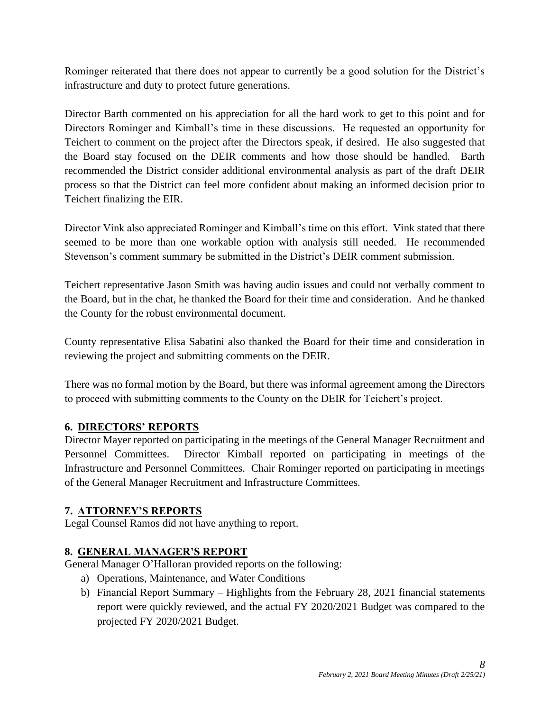Rominger reiterated that there does not appear to currently be a good solution for the District's infrastructure and duty to protect future generations.

Director Barth commented on his appreciation for all the hard work to get to this point and for Directors Rominger and Kimball's time in these discussions. He requested an opportunity for Teichert to comment on the project after the Directors speak, if desired. He also suggested that the Board stay focused on the DEIR comments and how those should be handled. Barth recommended the District consider additional environmental analysis as part of the draft DEIR process so that the District can feel more confident about making an informed decision prior to Teichert finalizing the EIR.

Director Vink also appreciated Rominger and Kimball's time on this effort. Vink stated that there seemed to be more than one workable option with analysis still needed. He recommended Stevenson's comment summary be submitted in the District's DEIR comment submission.

Teichert representative Jason Smith was having audio issues and could not verbally comment to the Board, but in the chat, he thanked the Board for their time and consideration. And he thanked the County for the robust environmental document.

County representative Elisa Sabatini also thanked the Board for their time and consideration in reviewing the project and submitting comments on the DEIR.

There was no formal motion by the Board, but there was informal agreement among the Directors to proceed with submitting comments to the County on the DEIR for Teichert's project.

# **6. DIRECTORS' REPORTS**

Director Mayer reported on participating in the meetings of the General Manager Recruitment and Personnel Committees. Director Kimball reported on participating in meetings of the Infrastructure and Personnel Committees. Chair Rominger reported on participating in meetings of the General Manager Recruitment and Infrastructure Committees.

# **7. ATTORNEY'S REPORTS**

Legal Counsel Ramos did not have anything to report.

# **8. GENERAL MANAGER'S REPORT**

General Manager O'Halloran provided reports on the following:

- a) Operations, Maintenance, and Water Conditions
- b) Financial Report Summary Highlights from the February 28, 2021 financial statements report were quickly reviewed, and the actual FY 2020/2021 Budget was compared to the projected FY 2020/2021 Budget.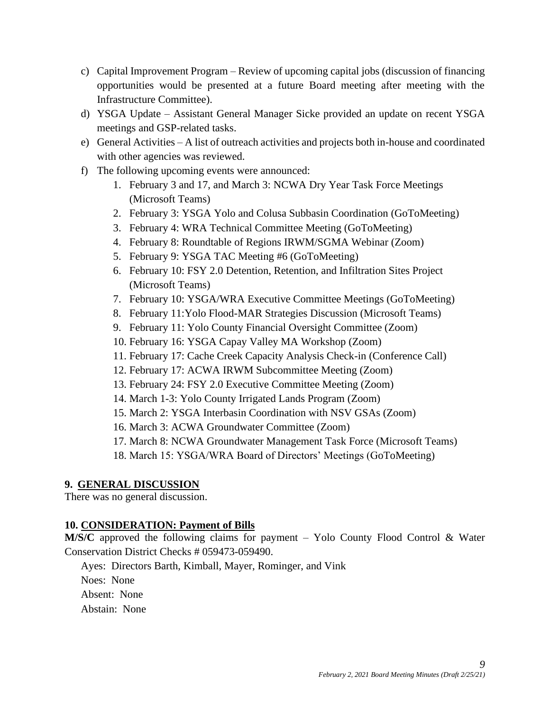- c) Capital Improvement Program Review of upcoming capital jobs (discussion of financing opportunities would be presented at a future Board meeting after meeting with the Infrastructure Committee).
- d) YSGA Update Assistant General Manager Sicke provided an update on recent YSGA meetings and GSP-related tasks.
- e) General Activities A list of outreach activities and projects both in-house and coordinated with other agencies was reviewed.
- f) The following upcoming events were announced:
	- 1. February 3 and 17, and March 3: NCWA Dry Year Task Force Meetings (Microsoft Teams)
	- 2. February 3: YSGA Yolo and Colusa Subbasin Coordination (GoToMeeting)
	- 3. February 4: WRA Technical Committee Meeting (GoToMeeting)
	- 4. February 8: Roundtable of Regions IRWM/SGMA Webinar (Zoom)
	- 5. February 9: YSGA TAC Meeting #6 (GoToMeeting)
	- 6. February 10: FSY 2.0 Detention, Retention, and Infiltration Sites Project (Microsoft Teams)
	- 7. February 10: YSGA/WRA Executive Committee Meetings (GoToMeeting)
	- 8. February 11:Yolo Flood-MAR Strategies Discussion (Microsoft Teams)
	- 9. February 11: Yolo County Financial Oversight Committee (Zoom)
	- 10. February 16: YSGA Capay Valley MA Workshop (Zoom)
	- 11. February 17: Cache Creek Capacity Analysis Check-in (Conference Call)
	- 12. February 17: ACWA IRWM Subcommittee Meeting (Zoom)
	- 13. February 24: FSY 2.0 Executive Committee Meeting (Zoom)
	- 14. March 1-3: Yolo County Irrigated Lands Program (Zoom)
	- 15. March 2: YSGA Interbasin Coordination with NSV GSAs (Zoom)
	- 16. March 3: ACWA Groundwater Committee (Zoom)
	- 17. March 8: NCWA Groundwater Management Task Force (Microsoft Teams)
	- 18. March 15: YSGA/WRA Board of Directors' Meetings (GoToMeeting)

# **9. GENERAL DISCUSSION**

There was no general discussion.

# **10. CONSIDERATION: Payment of Bills**

**M/S/C** approved the following claims for payment – Yolo County Flood Control & Water Conservation District Checks # 059473-059490.

Ayes: Directors Barth, Kimball, Mayer, Rominger, and Vink

Noes: None

Absent: None

Abstain: None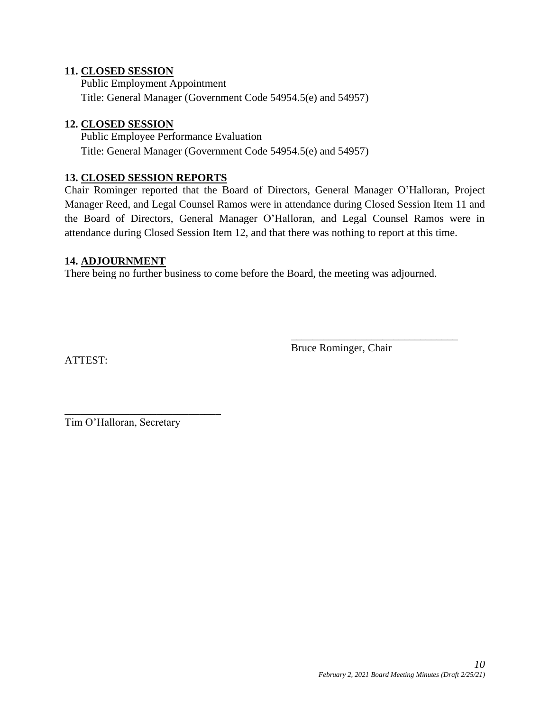#### **11. CLOSED SESSION**

Public Employment Appointment Title: General Manager (Government Code 54954.5(e) and 54957)

#### **12. CLOSED SESSION**

Public Employee Performance Evaluation Title: General Manager (Government Code 54954.5(e) and 54957)

#### **13. CLOSED SESSION REPORTS**

Chair Rominger reported that the Board of Directors, General Manager O'Halloran, Project Manager Reed, and Legal Counsel Ramos were in attendance during Closed Session Item 11 and the Board of Directors, General Manager O'Halloran, and Legal Counsel Ramos were in attendance during Closed Session Item 12, and that there was nothing to report at this time.

#### **14. ADJOURNMENT**

There being no further business to come before the Board, the meeting was adjourned.

ATTEST:

Bruce Rominger, Chair

\_\_\_\_\_\_\_\_\_\_\_\_\_\_\_\_\_\_\_\_\_\_\_\_\_\_\_\_\_\_\_

Tim O'Halloran, Secretary

\_\_\_\_\_\_\_\_\_\_\_\_\_\_\_\_\_\_\_\_\_\_\_\_\_\_\_\_\_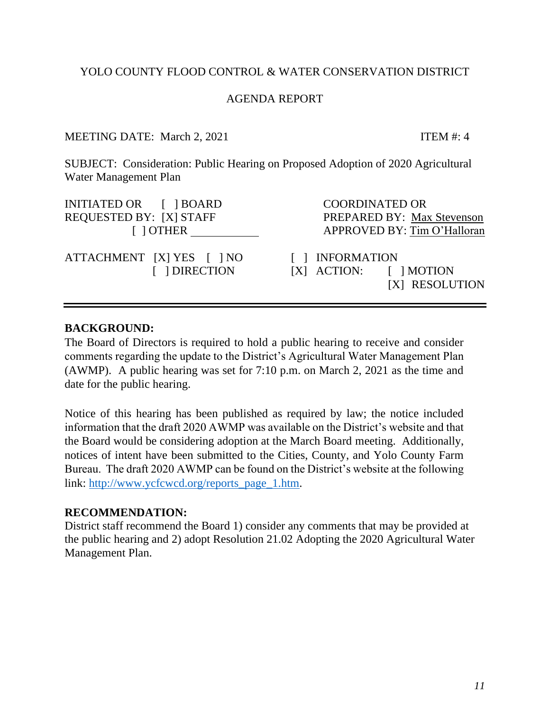# *11*

# YOLO COUNTY FLOOD CONTROL & WATER CONSERVATION DISTRICT

# AGENDA REPORT

MEETING DATE: March 2, 2021 ITEM #: 4

SUBJECT: Consideration: Public Hearing on Proposed Adoption of 2020 Agricultural Water Management Plan

INITIATED OR [ ] BOARD COORDINATED OR REQUESTED BY: [X] STAFF PREPARED BY: Max Stevenson

ATTACHMENT [X] YES [ ] NO [ ] INFORMATION

<span id="page-10-0"></span>[ ] OTHER APPROVED BY: Tim O'Halloran

 [ ] DIRECTION [X] ACTION: [ ] MOTION [X] RESOLUTION

# **BACKGROUND:**

The Board of Directors is required to hold a public hearing to receive and consider comments regarding the update to the District's Agricultural Water Management Plan (AWMP). A public hearing was set for 7:10 p.m. on March 2, 2021 as the time and date for the public hearing.

Notice of this hearing has been published as required by law; the notice included information that the draft 2020 AWMP was available on the District's website and that the Board would be considering adoption at the March Board meeting. Additionally, notices of intent have been submitted to the Cities, County, and Yolo County Farm Bureau. The draft 2020 AWMP can be found on the District's website at the following link: [http://www.ycfcwcd.org/reports\\_page\\_1.htm.](http://www.ycfcwcd.org/reports_page_1.htm)

# **RECOMMENDATION:**

District staff recommend the Board 1) consider any comments that may be provided at the public hearing and 2) adopt Resolution 21.02 Adopting the 2020 Agricultural Water Management Plan.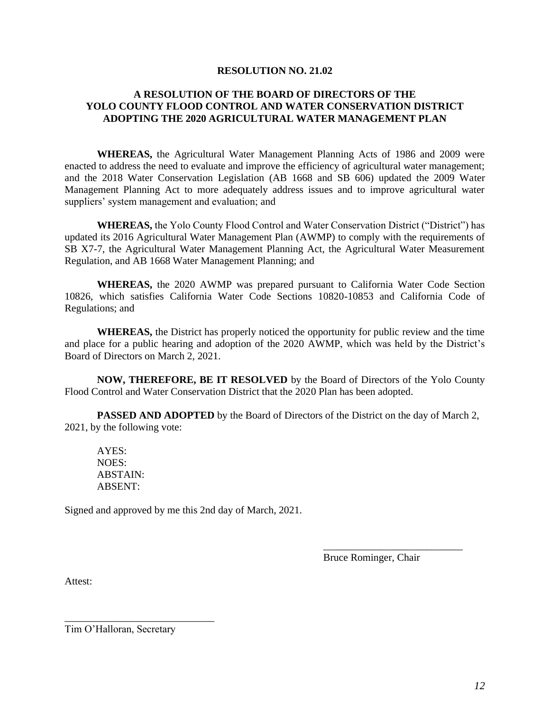#### **RESOLUTION NO. 21.02**

#### **A RESOLUTION OF THE BOARD OF DIRECTORS OF THE YOLO COUNTY FLOOD CONTROL AND WATER CONSERVATION DISTRICT ADOPTING THE 2020 AGRICULTURAL WATER MANAGEMENT PLAN**

**WHEREAS,** the Agricultural Water Management Planning Acts of 1986 and 2009 were enacted to address the need to evaluate and improve the efficiency of agricultural water management; and the 2018 Water Conservation Legislation (AB 1668 and SB 606) updated the 2009 Water Management Planning Act to more adequately address issues and to improve agricultural water suppliers' system management and evaluation; and

**WHEREAS,** the Yolo County Flood Control and Water Conservation District ("District") has updated its 2016 Agricultural Water Management Plan (AWMP) to comply with the requirements of SB X7-7, the Agricultural Water Management Planning Act, the Agricultural Water Measurement Regulation, and AB 1668 Water Management Planning; and

**WHEREAS,** the 2020 AWMP was prepared pursuant to California Water Code Section 10826, which satisfies California Water Code Sections 10820-10853 and California Code of Regulations; and

**WHEREAS,** the District has properly noticed the opportunity for public review and the time and place for a public hearing and adoption of the 2020 AWMP, which was held by the District's Board of Directors on March 2, 2021.

**NOW, THEREFORE, BE IT RESOLVED** by the Board of Directors of the Yolo County Flood Control and Water Conservation District that the 2020 Plan has been adopted.

**PASSED AND ADOPTED** by the Board of Directors of the District on the day of March 2, 2021, by the following vote:

AYES: NOES: ABSTAIN: ABSENT:

Signed and approved by me this 2nd day of March, 2021.

Bruce Rominger, Chair

\_\_\_\_\_\_\_\_\_\_\_\_\_\_\_\_\_\_\_\_\_\_\_\_\_\_\_

Attest:

Tim O'Halloran, Secretary

\_\_\_\_\_\_\_\_\_\_\_\_\_\_\_\_\_\_\_\_\_\_\_\_\_\_\_\_\_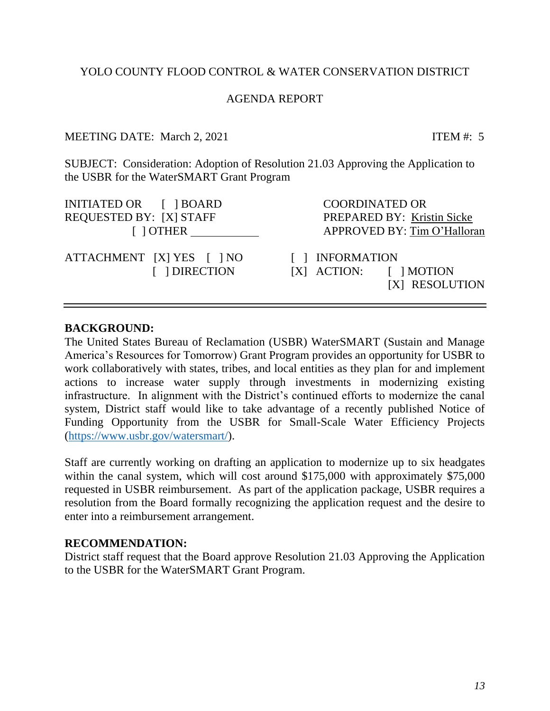# YOLO COUNTY FLOOD CONTROL & WATER CONSERVATION DISTRICT

# AGENDA REPORT

# MEETING DATE: March 2, 2021 ITEM #: 5

SUBJECT: Consideration: Adoption of Resolution 21.03 Approving the Application to the USBR for the WaterSMART Grant Program

INITIATED OR [ ] BOARD COORDINATED OR REQUESTED BY: [X] STAFF PREPARED BY: Kristin Sicke

ATTACHMENT [X] YES [ ] NO [ ] INFORMATION

<span id="page-12-0"></span>[ ] OTHER APPROVED BY: Tim O'Halloran

[ ] DIRECTION [X] ACTION: [ ] MOTION [X] RESOLUTION

# **BACKGROUND:**

The United States Bureau of Reclamation (USBR) WaterSMART (Sustain and Manage America's Resources for Tomorrow) Grant Program provides an opportunity for USBR to work collaboratively with states, tribes, and local entities as they plan for and implement actions to increase water supply through investments in modernizing existing infrastructure. In alignment with the District's continued efforts to modernize the canal system, District staff would like to take advantage of a recently published Notice of Funding Opportunity from the USBR for Small-Scale Water Efficiency Projects [\(https://www.usbr.gov/watersmart/\)](https://www.usbr.gov/watersmart/).

Staff are currently working on drafting an application to modernize up to six headgates within the canal system, which will cost around \$175,000 with approximately \$75,000 requested in USBR reimbursement. As part of the application package, USBR requires a resolution from the Board formally recognizing the application request and the desire to enter into a reimbursement arrangement.

# **RECOMMENDATION:**

District staff request that the Board approve Resolution 21.03 Approving the Application to the USBR for the WaterSMART Grant Program.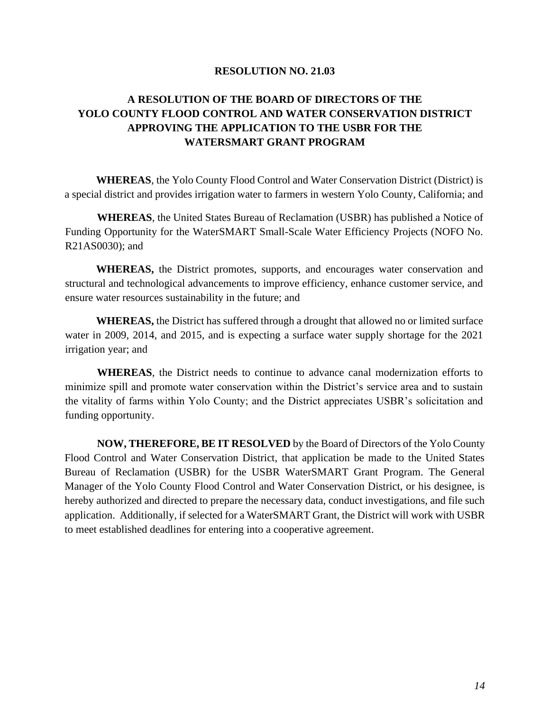#### **RESOLUTION NO. 21.03**

# **A RESOLUTION OF THE BOARD OF DIRECTORS OF THE YOLO COUNTY FLOOD CONTROL AND WATER CONSERVATION DISTRICT APPROVING THE APPLICATION TO THE USBR FOR THE WATERSMART GRANT PROGRAM**

**WHEREAS**, the Yolo County Flood Control and Water Conservation District (District) is a special district and provides irrigation water to farmers in western Yolo County, California; and

**WHEREAS**, the United States Bureau of Reclamation (USBR) has published a Notice of Funding Opportunity for the WaterSMART Small-Scale Water Efficiency Projects (NOFO No. R21AS0030); and

**WHEREAS,** the District promotes, supports, and encourages water conservation and structural and technological advancements to improve efficiency, enhance customer service, and ensure water resources sustainability in the future; and

**WHEREAS,** the District has suffered through a drought that allowed no or limited surface water in 2009, 2014, and 2015, and is expecting a surface water supply shortage for the 2021 irrigation year; and

**WHEREAS**, the District needs to continue to advance canal modernization efforts to minimize spill and promote water conservation within the District's service area and to sustain the vitality of farms within Yolo County; and the District appreciates USBR's solicitation and funding opportunity.

**NOW, THEREFORE, BE IT RESOLVED** by the Board of Directors of the Yolo County Flood Control and Water Conservation District, that application be made to the United States Bureau of Reclamation (USBR) for the USBR WaterSMART Grant Program. The General Manager of the Yolo County Flood Control and Water Conservation District, or his designee, is hereby authorized and directed to prepare the necessary data, conduct investigations, and file such application. Additionally, if selected for a WaterSMART Grant, the District will work with USBR to meet established deadlines for entering into a cooperative agreement.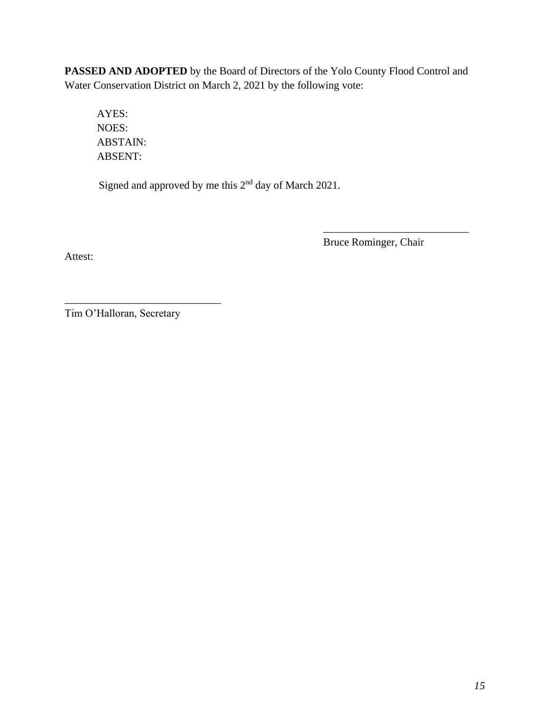**PASSED AND ADOPTED** by the Board of Directors of the Yolo County Flood Control and Water Conservation District on March 2, 2021 by the following vote:

AYES: NOES: ABSTAIN: ABSENT:

Signed and approved by me this 2nd day of March 2021.

Bruce Rominger, Chair

\_\_\_\_\_\_\_\_\_\_\_\_\_\_\_\_\_\_\_\_\_\_\_\_\_\_\_

Attest:

Tim O'Halloran, Secretary

\_\_\_\_\_\_\_\_\_\_\_\_\_\_\_\_\_\_\_\_\_\_\_\_\_\_\_\_\_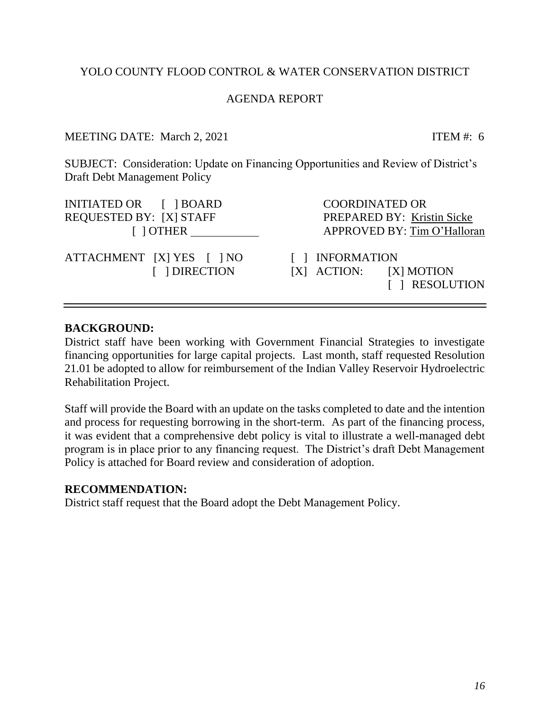*16*

# YOLO COUNTY FLOOD CONTROL & WATER CONSERVATION DISTRICT

# AGENDA REPORT

MEETING DATE: March 2, 2021 ITEM #: 6

SUBJECT: Consideration: Update on Financing Opportunities and Review of District's Draft Debt Management Policy

INITIATED OR [ ] BOARD COORDINATED OR REQUESTED BY: [X] STAFF PREPARED BY: Kristin Sicke

ATTACHMENT [X] YES [ ] NO [ ] INFORMATION

<span id="page-15-0"></span>[ ] OTHER APPROVED BY: Tim O'Halloran

 [ ] DIRECTION [X] ACTION: [X] MOTION [ ] RESOLUTION

# **BACKGROUND:**

District staff have been working with Government Financial Strategies to investigate financing opportunities for large capital projects. Last month, staff requested Resolution 21.01 be adopted to allow for reimbursement of the Indian Valley Reservoir Hydroelectric Rehabilitation Project.

Staff will provide the Board with an update on the tasks completed to date and the intention and process for requesting borrowing in the short-term. As part of the financing process, it was evident that a comprehensive debt policy is vital to illustrate a well-managed debt program is in place prior to any financing request. The District's draft Debt Management Policy is attached for Board review and consideration of adoption.

# **RECOMMENDATION:**

District staff request that the Board adopt the Debt Management Policy.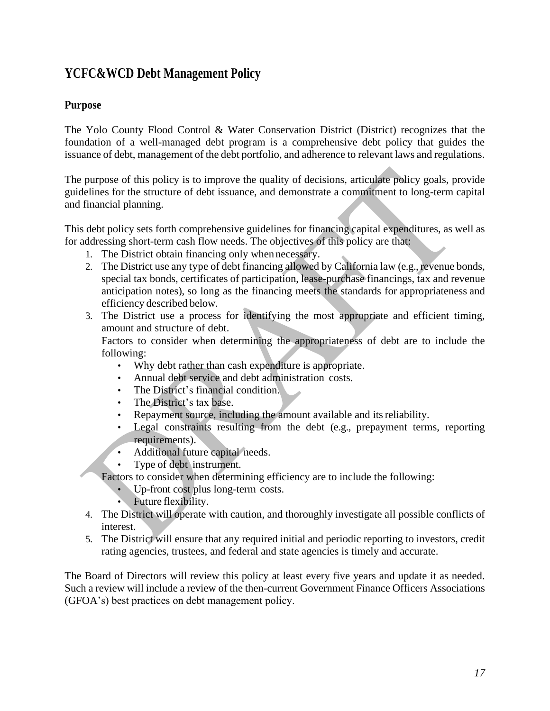# **YCFC&WCD Debt Management Policy**

# **Purpose**

The Yolo County Flood Control & Water Conservation District (District) recognizes that the foundation of a well-managed debt program is a comprehensive debt policy that guides the issuance of debt, management of the debt portfolio, and adherence to relevant laws and regulations.

The purpose of this policy is to improve the quality of decisions, articulate policy goals, provide guidelines for the structure of debt issuance, and demonstrate a commitment to long-term capital and financial planning.

This debt policy sets forth comprehensive guidelines for financing capital expenditures, as well as for addressing short-term cash flow needs. The objectives of this policy are that:

- 1. The District obtain financing only when necessary.
- 2. The District use any type of debt financing allowed by California law (e.g., revenue bonds, special tax bonds, certificates of participation, lease-purchase financings, tax and revenue anticipation notes), so long as the financing meets the standards for appropriateness and efficiency described below.
- 3. The District use a process for identifying the most appropriate and efficient timing, amount and structure of debt.

Factors to consider when determining the appropriateness of debt are to include the following:

- Why debt rather than cash expenditure is appropriate.
- Annual debt service and debt administration costs.
- The District's financial condition.
- The District's tax base.
- Repayment source, including the amount available and its reliability.
- Legal constraints resulting from the debt (e.g., prepayment terms, reporting requirements).
- Additional future capital needs.
- Type of debt instrument.

Factors to consider when determining efficiency are to include the following:

- Up-front cost plus long-term costs.
- Future flexibility.
- 4. The District will operate with caution, and thoroughly investigate all possible conflicts of interest.
- 5. The District will ensure that any required initial and periodic reporting to investors, credit rating agencies, trustees, and federal and state agencies is timely and accurate.

The Board of Directors will review this policy at least every five years and update it as needed. Such a review will include a review of the then-current Government Finance Officers Associations (GFOA's) best practices on debt management policy.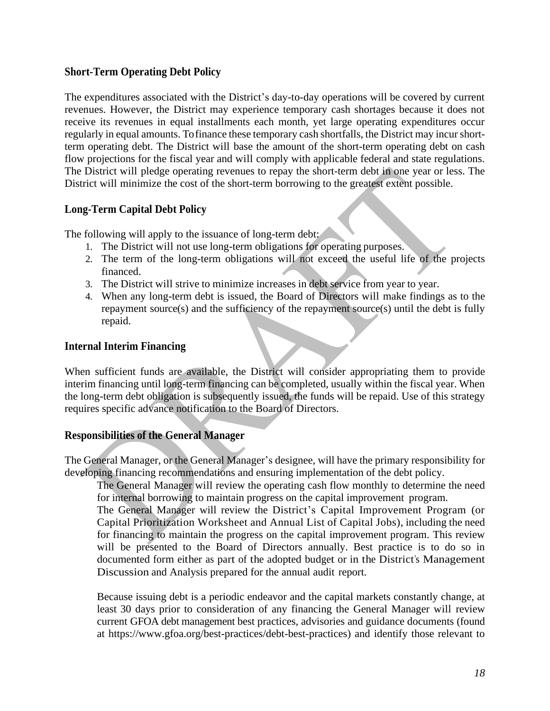# **Short-Term Operating Debt Policy**

The expenditures associated with the District's day-to-day operations will be covered by current revenues. However, the District may experience temporary cash shortages because it does not receive its revenues in equal installments each month, yet large operating expenditures occur regularly in equal amounts. To finance these temporary cash shortfalls, the District may incur shortterm operating debt. The District will base the amount of the short-term operating debt on cash flow projections for the fiscal year and will comply with applicable federal and state regulations. The District will pledge operating revenues to repay the short-term debt in one year or less. The District will minimize the cost of the short-term borrowing to the greatest extent possible.

# **Long-Term Capital Debt Policy**

The following will apply to the issuance of long-term debt:

- 1. The District will not use long-term obligations for operating purposes.
- 2. The term of the long-term obligations will not exceed the useful life of the projects financed.
- 3. The District will strive to minimize increases in debt service from year to year.
- 4. When any long-term debt is issued, the Board of Directors will make findings as to the repayment source(s) and the sufficiency of the repayment source(s) until the debt is fully repaid.

# **Internal Interim Financing**

When sufficient funds are available, the District will consider appropriating them to provide interim financing until long-term financing can be completed, usually within the fiscal year. When the long-term debt obligation is subsequently issued, the funds will be repaid. Use of this strategy requires specific advance notification to the Board of Directors.

# **Responsibilities of the General Manager**

The General Manager, or the General Manager's designee, will have the primary responsibility for developing financing recommendations and ensuring implementation of the debt policy.

The General Manager will review the operating cash flow monthly to determine the need for internal borrowing to maintain progress on the capital improvement program.

The General Manager will review the District's Capital Improvement Program (or Capital Prioritization Worksheet and Annual List of Capital Jobs), including the need for financing to maintain the progress on the capital improvement program. This review will be presented to the Board of Directors annually. Best practice is to do so in documented form either as part of the adopted budget or in the District's Management Discussion and Analysis prepared for the annual audit report.

Because issuing debt is a periodic endeavor and the capital markets constantly change, at least 30 days prior to consideration of any financing the General Manager will review current GFOA debt management best practices, advisories and guidance documents (found at https://www.gfoa.org/best-practices/debt-best-practices) and identify those relevant to